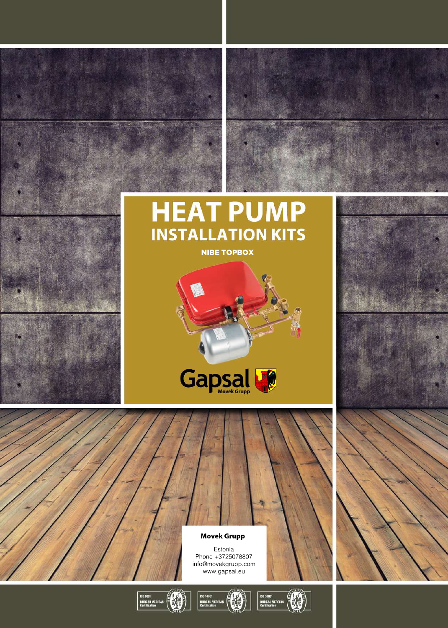

**NIBE TOPBOX** 



**MovekGrupp** Estonia Phone+3725078807 info@movekgrupp.com www.gapsal.eu



 $\circledR$